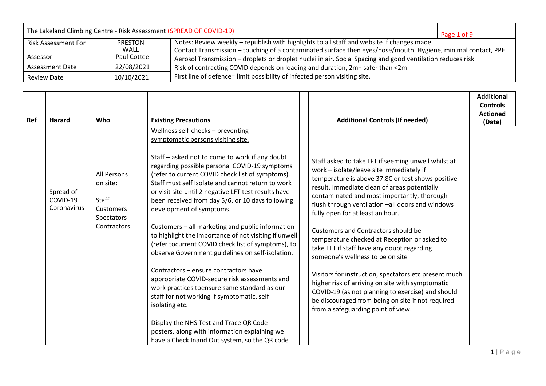| The Lakeland Climbing Centre - Risk Assessment (SPREAD OF COVID-19)<br>Page 1 of 9 |                |                                                                                                               |  |  |  |
|------------------------------------------------------------------------------------|----------------|---------------------------------------------------------------------------------------------------------------|--|--|--|
| Risk Assessment For                                                                | <b>PRESTON</b> | Notes: Review weekly - republish with highlights to all staff and website if changes made                     |  |  |  |
|                                                                                    | WALL           | Contact Transmission - touching of a contaminated surface then eyes/nose/mouth. Hygiene, minimal contact, PPE |  |  |  |
| Assessor                                                                           | Paul Cottee    | Aerosol Transmission - droplets or droplet nuclei in air. Social Spacing and good ventilation reduces risk    |  |  |  |
| <b>Assessment Date</b>                                                             | 22/08/2021     | Risk of contracting COVID depends on loading and duration, 2m+ safer than <2m                                 |  |  |  |
| <b>Review Date</b>                                                                 | 10/10/2021     | First line of defence= limit possibility of infected person visiting site.                                    |  |  |  |

|     |                                      |                                                                                   |                                                                                                                                                                                                                                                                                                                                                                                                                                                                                                                                                                                                                                                                                                                                                                                                                                                               |                                                                                                                                                                                                                                                                                                                                                                                                                                                                                                                                                                                                                                                                                                                                                    | <b>Additional</b><br><b>Controls</b><br><b>Actioned</b> |
|-----|--------------------------------------|-----------------------------------------------------------------------------------|---------------------------------------------------------------------------------------------------------------------------------------------------------------------------------------------------------------------------------------------------------------------------------------------------------------------------------------------------------------------------------------------------------------------------------------------------------------------------------------------------------------------------------------------------------------------------------------------------------------------------------------------------------------------------------------------------------------------------------------------------------------------------------------------------------------------------------------------------------------|----------------------------------------------------------------------------------------------------------------------------------------------------------------------------------------------------------------------------------------------------------------------------------------------------------------------------------------------------------------------------------------------------------------------------------------------------------------------------------------------------------------------------------------------------------------------------------------------------------------------------------------------------------------------------------------------------------------------------------------------------|---------------------------------------------------------|
| Ref | <b>Hazard</b>                        | Who                                                                               | <b>Existing Precautions</b>                                                                                                                                                                                                                                                                                                                                                                                                                                                                                                                                                                                                                                                                                                                                                                                                                                   | <b>Additional Controls (If needed)</b>                                                                                                                                                                                                                                                                                                                                                                                                                                                                                                                                                                                                                                                                                                             | (Date)                                                  |
|     | Spread of<br>COVID-19<br>Coronavirus | All Persons<br>on site:<br><b>Staff</b><br>Customers<br>Spectators<br>Contractors | Wellness self-checks - preventing<br>symptomatic persons visiting site.<br>Staff – asked not to come to work if any doubt<br>regarding possible personal COVID-19 symptoms<br>(refer to current COVID check list of symptoms).<br>Staff must self Isolate and cannot return to work<br>or visit site until 2 negative LFT test results have<br>been received from day 5/6, or 10 days following<br>development of symptoms.<br>Customers - all marketing and public information<br>to highlight the importance of not visiting if unwell<br>(refer tocurrent COVID check list of symptoms), to<br>observe Government guidelines on self-isolation.<br>Contractors - ensure contractors have<br>appropriate COVID-secure risk assessments and<br>work practices toensure same standard as our<br>staff for not working if symptomatic, self-<br>isolating etc. | Staff asked to take LFT if seeming unwell whilst at<br>work - isolate/leave site immediately if<br>temperature is above 37.8C or test shows positive<br>result. Immediate clean of areas potentially<br>contaminated and most importantly, thorough<br>flush through ventilation -all doors and windows<br>fully open for at least an hour.<br><b>Customers and Contractors should be</b><br>temperature checked at Reception or asked to<br>take LFT if staff have any doubt regarding<br>someone's wellness to be on site<br>Visitors for instruction, spectators etc present much<br>higher risk of arriving on site with symptomatic<br>COVID-19 (as not planning to exercise) and should<br>be discouraged from being on site if not required |                                                         |
|     |                                      |                                                                                   | Display the NHS Test and Trace QR Code<br>posters, along with information explaining we<br>have a Check Inand Out system, so the QR code                                                                                                                                                                                                                                                                                                                                                                                                                                                                                                                                                                                                                                                                                                                      | from a safeguarding point of view.                                                                                                                                                                                                                                                                                                                                                                                                                                                                                                                                                                                                                                                                                                                 |                                                         |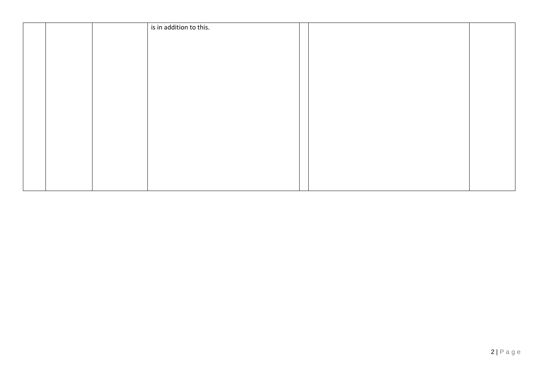|  | is in addition to this. |  |
|--|-------------------------|--|
|  |                         |  |
|  |                         |  |
|  |                         |  |
|  |                         |  |
|  |                         |  |
|  |                         |  |
|  |                         |  |
|  |                         |  |
|  |                         |  |
|  |                         |  |
|  |                         |  |
|  |                         |  |
|  |                         |  |
|  |                         |  |
|  |                         |  |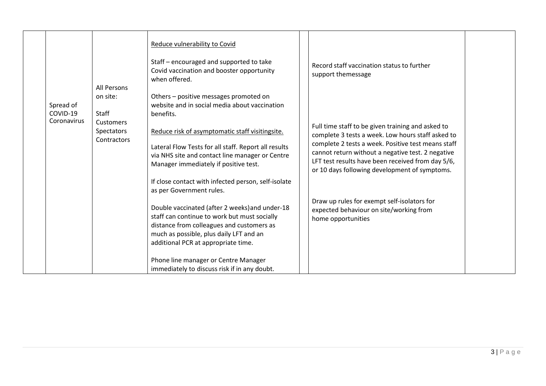|                         | All Persons               | Reduce vulnerability to Covid<br>Staff - encouraged and supported to take<br>Covid vaccination and booster opportunity<br>when offered.                                                                                       | Record staff vaccination status to further<br>support themessage                                                                                                                                              |  |
|-------------------------|---------------------------|-------------------------------------------------------------------------------------------------------------------------------------------------------------------------------------------------------------------------------|---------------------------------------------------------------------------------------------------------------------------------------------------------------------------------------------------------------|--|
| Spread of               | on site:                  | Others - positive messages promoted on<br>website and in social media about vaccination                                                                                                                                       |                                                                                                                                                                                                               |  |
| COVID-19<br>Coronavirus | <b>Staff</b><br>Customers | benefits.                                                                                                                                                                                                                     |                                                                                                                                                                                                               |  |
|                         | Spectators<br>Contractors | Reduce risk of asymptomatic staff visitingsite.                                                                                                                                                                               | Full time staff to be given training and asked to<br>complete 3 tests a week. Low hours staff asked to                                                                                                        |  |
|                         |                           | Lateral Flow Tests for all staff. Report all results<br>via NHS site and contact line manager or Centre<br>Manager immediately if positive test.                                                                              | complete 2 tests a week. Positive test means staff<br>cannot return without a negative test. 2 negative<br>LFT test results have been received from day 5/6,<br>or 10 days following development of symptoms. |  |
|                         |                           | If close contact with infected person, self-isolate<br>as per Government rules.                                                                                                                                               |                                                                                                                                                                                                               |  |
|                         |                           | Double vaccinated (after 2 weeks) and under-18<br>staff can continue to work but must socially<br>distance from colleagues and customers as<br>much as possible, plus daily LFT and an<br>additional PCR at appropriate time. | Draw up rules for exempt self-isolators for<br>expected behaviour on site/working from<br>home opportunities                                                                                                  |  |
|                         |                           | Phone line manager or Centre Manager<br>immediately to discuss risk if in any doubt.                                                                                                                                          |                                                                                                                                                                                                               |  |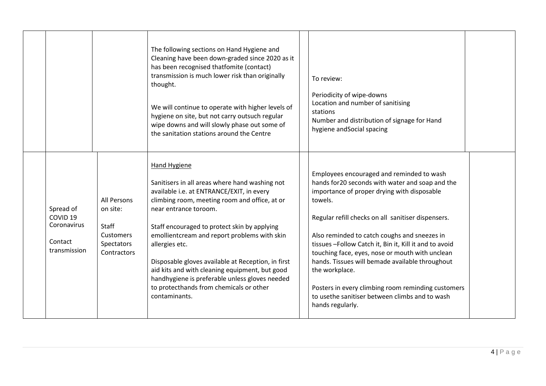|                                                                            |                                                                                   | The following sections on Hand Hygiene and<br>Cleaning have been down-graded since 2020 as it<br>has been recognised thatfomite (contact)<br>transmission is much lower risk than originally<br>thought.<br>We will continue to operate with higher levels of<br>hygiene on site, but not carry outsuch regular<br>wipe downs and will slowly phase out some of<br>the sanitation stations around the Centre                                                                                                                  | To review:<br>Periodicity of wipe-downs<br>Location and number of sanitising<br>stations<br>Number and distribution of signage for Hand<br>hygiene and Social spacing                                                                                                                                                                                                                                                                                                                                                                                                      |  |
|----------------------------------------------------------------------------|-----------------------------------------------------------------------------------|-------------------------------------------------------------------------------------------------------------------------------------------------------------------------------------------------------------------------------------------------------------------------------------------------------------------------------------------------------------------------------------------------------------------------------------------------------------------------------------------------------------------------------|----------------------------------------------------------------------------------------------------------------------------------------------------------------------------------------------------------------------------------------------------------------------------------------------------------------------------------------------------------------------------------------------------------------------------------------------------------------------------------------------------------------------------------------------------------------------------|--|
| Spread of<br>COVID <sub>19</sub><br>Coronavirus<br>Contact<br>transmission | All Persons<br>on site:<br><b>Staff</b><br>Customers<br>Spectators<br>Contractors | Hand Hygiene<br>Sanitisers in all areas where hand washing not<br>available i.e. at ENTRANCE/EXIT, in every<br>climbing room, meeting room and office, at or<br>near entrance toroom.<br>Staff encouraged to protect skin by applying<br>emollientcream and report problems with skin<br>allergies etc.<br>Disposable gloves available at Reception, in first<br>aid kits and with cleaning equipment, but good<br>handhygiene is preferable unless gloves needed<br>to protecthands from chemicals or other<br>contaminants. | Employees encouraged and reminded to wash<br>hands for 20 seconds with water and soap and the<br>importance of proper drying with disposable<br>towels.<br>Regular refill checks on all sanitiser dispensers.<br>Also reminded to catch coughs and sneezes in<br>tissues-Follow Catch it, Bin it, Kill it and to avoid<br>touching face, eyes, nose or mouth with unclean<br>hands. Tissues will bemade available throughout<br>the workplace.<br>Posters in every climbing room reminding customers<br>to usethe sanitiser between climbs and to wash<br>hands regularly. |  |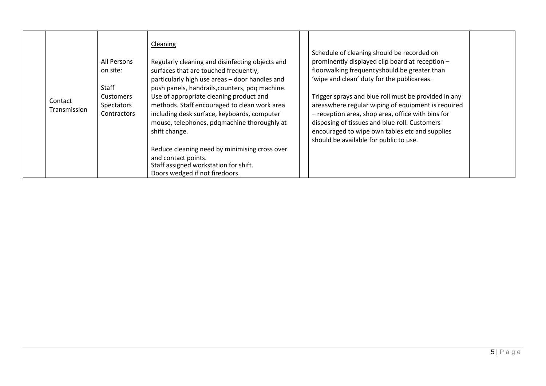| Contact<br>Transmission | All Persons<br>on site:<br><b>Staff</b><br>Customers<br>Spectators<br><b>Contractors</b> | Cleaning<br>Regularly cleaning and disinfecting objects and<br>surfaces that are touched frequently,<br>particularly high use areas - door handles and<br>push panels, handrails, counters, pdq machine.<br>Use of appropriate cleaning product and<br>methods. Staff encouraged to clean work area<br>including desk surface, keyboards, computer<br>mouse, telephones, pdgmachine thoroughly at<br>shift change. | Schedule of cleaning should be recorded on<br>prominently displayed clip board at reception -<br>floorwalking frequencyshould be greater than<br>'wipe and clean' duty for the publicareas.<br>Trigger sprays and blue roll must be provided in any<br>areaswhere regular wiping of equipment is required<br>- reception area, shop area, office with bins for<br>disposing of tissues and blue roll. Customers<br>encouraged to wipe own tables etc and supplies<br>should be available for public to use. |  |
|-------------------------|------------------------------------------------------------------------------------------|--------------------------------------------------------------------------------------------------------------------------------------------------------------------------------------------------------------------------------------------------------------------------------------------------------------------------------------------------------------------------------------------------------------------|-------------------------------------------------------------------------------------------------------------------------------------------------------------------------------------------------------------------------------------------------------------------------------------------------------------------------------------------------------------------------------------------------------------------------------------------------------------------------------------------------------------|--|
|                         |                                                                                          | Reduce cleaning need by minimising cross over<br>and contact points.                                                                                                                                                                                                                                                                                                                                               |                                                                                                                                                                                                                                                                                                                                                                                                                                                                                                             |  |
|                         |                                                                                          | Staff assigned workstation for shift.                                                                                                                                                                                                                                                                                                                                                                              |                                                                                                                                                                                                                                                                                                                                                                                                                                                                                                             |  |
|                         |                                                                                          | Doors wedged if not firedoors.                                                                                                                                                                                                                                                                                                                                                                                     |                                                                                                                                                                                                                                                                                                                                                                                                                                                                                                             |  |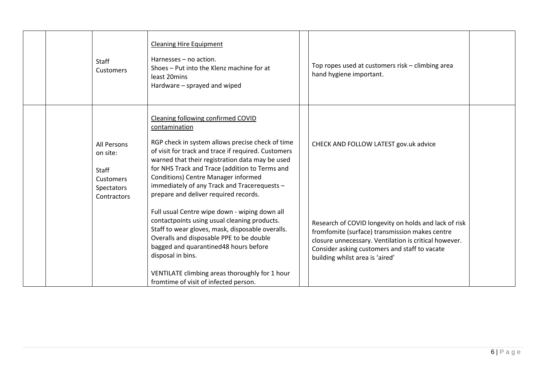|  | Staff<br>Customers                                                         | <b>Cleaning Hire Equipment</b><br>Harnesses - no action.<br>Shoes – Put into the Klenz machine for at<br>least 20mins<br>Hardware - sprayed and wiped                                                                                                                                                                                                                                               | Top ropes used at customers risk - climbing area<br>hand hygiene important.                                                                                                                                                                          |  |
|--|----------------------------------------------------------------------------|-----------------------------------------------------------------------------------------------------------------------------------------------------------------------------------------------------------------------------------------------------------------------------------------------------------------------------------------------------------------------------------------------------|------------------------------------------------------------------------------------------------------------------------------------------------------------------------------------------------------------------------------------------------------|--|
|  | All Persons<br>on site:<br>Staff<br>Customers<br>Spectators<br>Contractors | Cleaning following confirmed COVID<br>contamination<br>RGP check in system allows precise check of time<br>of visit for track and trace if required. Customers<br>warned that their registration data may be used<br>for NHS Track and Trace (addition to Terms and<br>Conditions) Centre Manager informed<br>immediately of any Track and Tracerequests -<br>prepare and deliver required records. | CHECK AND FOLLOW LATEST gov.uk advice                                                                                                                                                                                                                |  |
|  |                                                                            | Full usual Centre wipe down - wiping down all<br>contactpoints using usual cleaning products.<br>Staff to wear gloves, mask, disposable overalls.<br>Overalls and disposable PPE to be double<br>bagged and quarantined48 hours before<br>disposal in bins.<br>VENTILATE climbing areas thoroughly for 1 hour<br>fromtime of visit of infected person.                                              | Research of COVID longevity on holds and lack of risk<br>fromfomite (surface) transmission makes centre<br>closure unnecessary. Ventilation is critical however.<br>Consider asking customers and staff to vacate<br>building whilst area is 'aired' |  |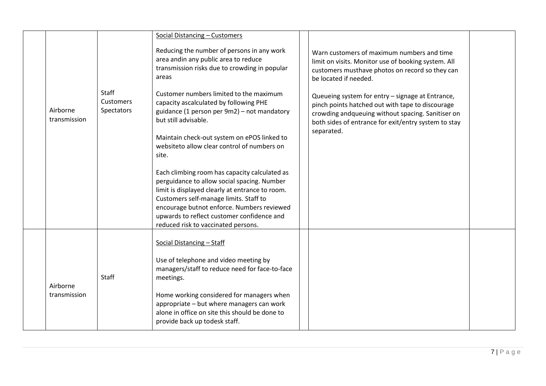|                          |                                         | Social Distancing - Customers                                                                                                                                                                                                                                                                                                |                                                                                                                                                                                                                                 |  |
|--------------------------|-----------------------------------------|------------------------------------------------------------------------------------------------------------------------------------------------------------------------------------------------------------------------------------------------------------------------------------------------------------------------------|---------------------------------------------------------------------------------------------------------------------------------------------------------------------------------------------------------------------------------|--|
|                          |                                         | Reducing the number of persons in any work<br>area andin any public area to reduce<br>transmission risks due to crowding in popular<br>areas                                                                                                                                                                                 | Warn customers of maximum numbers and time<br>limit on visits. Monitor use of booking system. All<br>customers musthave photos on record so they can<br>be located if needed.                                                   |  |
| Airborne<br>transmission | <b>Staff</b><br>Customers<br>Spectators | Customer numbers limited to the maximum<br>capacity ascalculated by following PHE<br>guidance (1 person per 9m2) - not mandatory<br>but still advisable.<br>Maintain check-out system on ePOS linked to<br>websiteto allow clear control of numbers on<br>site.                                                              | Queueing system for entry - signage at Entrance,<br>pinch points hatched out with tape to discourage<br>crowding andqueuing without spacing. Sanitiser on<br>both sides of entrance for exit/entry system to stay<br>separated. |  |
|                          |                                         | Each climbing room has capacity calculated as<br>perguidance to allow social spacing. Number<br>limit is displayed clearly at entrance to room.<br>Customers self-manage limits. Staff to<br>encourage butnot enforce. Numbers reviewed<br>upwards to reflect customer confidence and<br>reduced risk to vaccinated persons. |                                                                                                                                                                                                                                 |  |
| Airborne<br>transmission | <b>Staff</b>                            | Social Distancing - Staff<br>Use of telephone and video meeting by<br>managers/staff to reduce need for face-to-face<br>meetings.<br>Home working considered for managers when<br>appropriate - but where managers can work<br>alone in office on site this should be done to<br>provide back up todesk staff.               |                                                                                                                                                                                                                                 |  |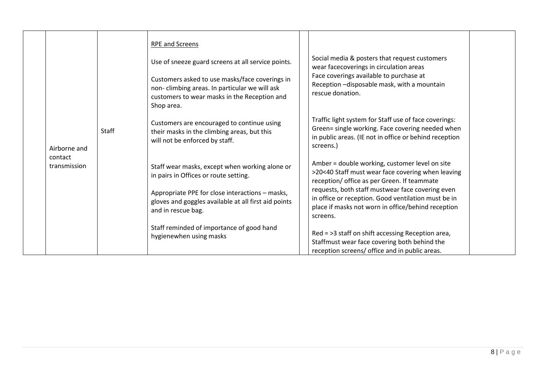|                         |              | <b>RPE and Screens</b>                                                                                                                                        |                                                                                                                                                                                  |
|-------------------------|--------------|---------------------------------------------------------------------------------------------------------------------------------------------------------------|----------------------------------------------------------------------------------------------------------------------------------------------------------------------------------|
|                         |              | Use of sneeze guard screens at all service points.                                                                                                            | Social media & posters that request customers<br>wear facecoverings in circulation areas                                                                                         |
|                         | <b>Staff</b> | Customers asked to use masks/face coverings in<br>non-climbing areas. In particular we will ask<br>customers to wear masks in the Reception and<br>Shop area. | Face coverings available to purchase at<br>Reception - disposable mask, with a mountain<br>rescue donation.                                                                      |
| Airborne and            |              | Customers are encouraged to continue using<br>their masks in the climbing areas, but this<br>will not be enforced by staff.                                   | Traffic light system for Staff use of face coverings:<br>Green= single working. Face covering needed when<br>in public areas. (IE not in office or behind reception<br>screens.) |
| contact<br>transmission |              | Staff wear masks, except when working alone or<br>in pairs in Offices or route setting.                                                                       | Amber = double working, customer level on site<br>>20<40 Staff must wear face covering when leaving<br>reception/ office as per Green. If teammate                               |
|                         |              | Appropriate PPE for close interactions - masks,<br>gloves and goggles available at all first aid points<br>and in rescue bag.                                 | requests, both staff mustwear face covering even<br>in office or reception. Good ventilation must be in<br>place if masks not worn in office/behind reception<br>screens.        |
|                         |              | Staff reminded of importance of good hand<br>hygienewhen using masks                                                                                          | Red = >3 staff on shift accessing Reception area,<br>Staffmust wear face covering both behind the<br>reception screens/ office and in public areas.                              |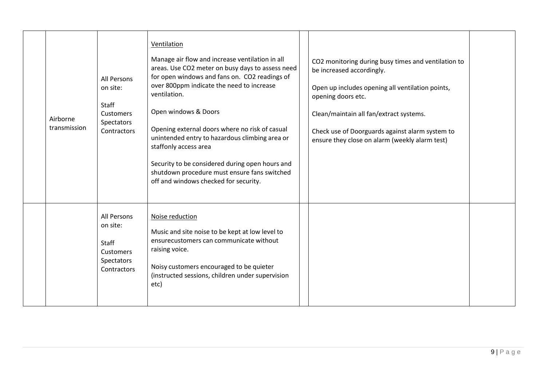| Airborne<br>transmission | <b>All Persons</b><br>on site:<br>Staff<br><b>Customers</b><br>Spectators<br>Contractors | Ventilation<br>Manage air flow and increase ventilation in all<br>areas. Use CO2 meter on busy days to assess need<br>for open windows and fans on. CO2 readings of<br>over 800ppm indicate the need to increase<br>ventilation.<br>Open windows & Doors<br>Opening external doors where no risk of casual<br>unintended entry to hazardous climbing area or<br>staffonly access area<br>Security to be considered during open hours and<br>shutdown procedure must ensure fans switched<br>off and windows checked for security. | CO2 monitoring during busy times and ventilation to<br>be increased accordingly.<br>Open up includes opening all ventilation points,<br>opening doors etc.<br>Clean/maintain all fan/extract systems.<br>Check use of Doorguards against alarm system to<br>ensure they close on alarm (weekly alarm test) |  |
|--------------------------|------------------------------------------------------------------------------------------|-----------------------------------------------------------------------------------------------------------------------------------------------------------------------------------------------------------------------------------------------------------------------------------------------------------------------------------------------------------------------------------------------------------------------------------------------------------------------------------------------------------------------------------|------------------------------------------------------------------------------------------------------------------------------------------------------------------------------------------------------------------------------------------------------------------------------------------------------------|--|
|                          | <b>All Persons</b><br>on site:<br>Staff<br>Customers<br>Spectators<br>Contractors        | Noise reduction<br>Music and site noise to be kept at low level to<br>ensurecustomers can communicate without<br>raising voice.<br>Noisy customers encouraged to be quieter<br>(instructed sessions, children under supervision<br>etc)                                                                                                                                                                                                                                                                                           |                                                                                                                                                                                                                                                                                                            |  |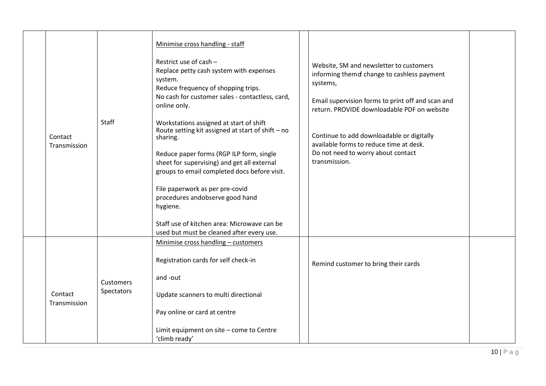| Contact<br>Transmission | <b>Staff</b>                   | Minimise cross handling - staff<br>Restrict use of cash -<br>Replace petty cash system with expenses<br>system.<br>Reduce frequency of shopping trips.<br>No cash for customer sales - contactless, card,<br>online only.<br>Workstations assigned at start of shift<br>Route setting kit assigned at start of shift - no<br>sharing.<br>Reduce paper forms (RGP ILP form, single<br>sheet for supervising) and get all external<br>groups to email completed docs before visit.<br>File paperwork as per pre-covid<br>procedures andobserve good hand<br>hygiene.<br>Staff use of kitchen area: Microwave can be<br>used but must be cleaned after every use. | Website, SM and newsletter to customers<br>informing them of change to cashless payment<br>systems,<br>Email supervision forms to print off and scan and<br>return. PROVIDE downloadable PDF on website<br>Continue to add downloadable or digitally<br>available forms to reduce time at desk.<br>Do not need to worry about contact<br>transmission. |  |
|-------------------------|--------------------------------|----------------------------------------------------------------------------------------------------------------------------------------------------------------------------------------------------------------------------------------------------------------------------------------------------------------------------------------------------------------------------------------------------------------------------------------------------------------------------------------------------------------------------------------------------------------------------------------------------------------------------------------------------------------|--------------------------------------------------------------------------------------------------------------------------------------------------------------------------------------------------------------------------------------------------------------------------------------------------------------------------------------------------------|--|
| Contact<br>Transmission | <b>Customers</b><br>Spectators | Minimise cross handling - customers<br>Registration cards for self check-in<br>and -out<br>Update scanners to multi directional<br>Pay online or card at centre<br>Limit equipment on site - come to Centre<br>'climb ready'                                                                                                                                                                                                                                                                                                                                                                                                                                   | Remind customer to bring their cards                                                                                                                                                                                                                                                                                                                   |  |